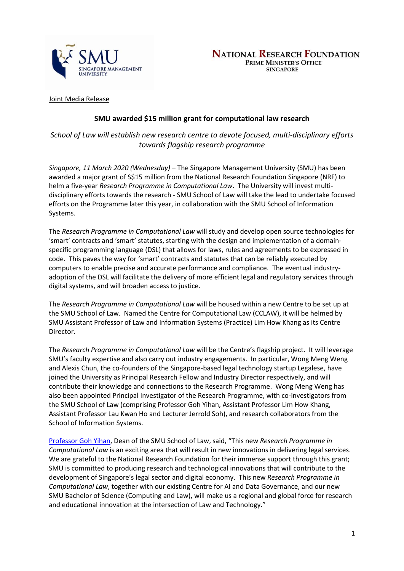

Joint Media Release

# **SMU awarded \$15 million grant for computational law research**

*School of Law will establish new research centre to devote focused, multi-disciplinary efforts towards flagship research programme*

*Singapore, 11 March 2020 (Wednesday) –* The Singapore Management University (SMU) has been awarded a major grant of S\$15 million from the National Research Foundation Singapore (NRF) to helm a five-year *Research Programme in Computational Law*. The University will invest multidisciplinary efforts towards the research - SMU School of Law will take the lead to undertake focused efforts on the Programme later this year, in collaboration with the SMU School of Information Systems.

The *Research Programme in Computational Law* will study and develop open source technologies for 'smart' contracts and 'smart' statutes, starting with the design and implementation of a domainspecific programming language (DSL) that allows for laws, rules and agreements to be expressed in code. This paves the way for 'smart' contracts and statutes that can be reliably executed by computers to enable precise and accurate performance and compliance. The eventual industryadoption of the DSL will facilitate the delivery of more efficient legal and regulatory services through digital systems, and will broaden access to justice.

The *Research Programme in Computational Law* will be housed within a new Centre to be set up at the SMU School of Law. Named the Centre for Computational Law (CCLAW), it will be helmed by SMU Assistant Professor of Law and Information Systems (Practice) Lim How Khang as its Centre Director.

The *Research Programme in Computational Law* will be the Centre's flagship project. It will leverage SMU's faculty expertise and also carry out industry engagements. In particular, Wong Meng Weng and Alexis Chun, the co-founders of the Singapore-based legal technology startup Legalese, have joined the University as Principal Research Fellow and Industry Director respectively, and will contribute their knowledge and connections to the Research Programme. Wong Meng Weng has also been appointed Principal Investigator of the Research Programme, with co-investigators from the SMU School of Law (comprising Professor Goh Yihan, Assistant Professor Lim How Khang, Assistant Professor Lau Kwan Ho and Lecturer Jerrold Soh), and research collaborators from the School of Information Systems.

[Professor Goh Yihan,](https://www.smu.edu.sg/faculty/profile/108226/GOH-Yihan) Dean of the SMU School of Law, said, "This new *Research Programme in Computational Law* is an exciting area that will result in new innovations in delivering legal services. We are grateful to the National Research Foundation for their immense support through this grant; SMU is committed to producing research and technological innovations that will contribute to the development of Singapore's legal sector and digital economy. This new *Research Programme in Computational Law*, together with our existing Centre for AI and Data Governance, and our new SMU Bachelor of Science (Computing and Law), will make us a regional and global force for research and educational innovation at the intersection of Law and Technology."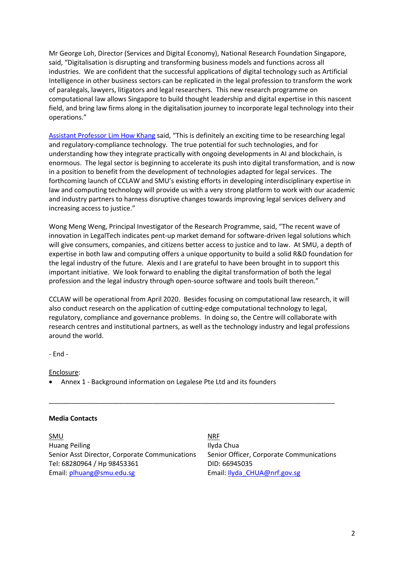Mr George Loh, Director (Services and Digital Economy), National Research Foundation Singapore, said, "Digitalisation is disrupting and transforming business models and functions across all industries. We are confident that the successful applications of digital technology such as Artificial Intelligence in other business sectors can be replicated in the legal profession to transform the work of paralegals, lawyers, litigators and legal researchers. This new research programme on computational law allows Singapore to build thought leadership and digital expertise in this nascent field, and bring law firms along in the digitalisation journey to incorporate legal technology into their operations."

[Assistant Professor Lim How Khang](https://www.smu.edu.sg/faculty/profile/162166/LIM-How-Khang) said, "This is definitely an exciting time to be researching legal and regulatory-compliance technology. The true potential for such technologies, and for understanding how they integrate practically with ongoing developments in AI and blockchain, is enormous. The legal sector is beginning to accelerate its push into digital transformation, and is now in a position to benefit from the development of technologies adapted for legal services. The forthcoming launch of CCLAW and SMU's existing efforts in developing interdisciplinary expertise in law and computing technology will provide us with a very strong platform to work with our academic and industry partners to harness disruptive changes towards improving legal services delivery and increasing access to justice."

Wong Meng Weng, Principal Investigator of the Research Programme, said, "The recent wave of innovation in LegalTech indicates pent-up market demand for software-driven legal solutions which will give consumers, companies, and citizens better access to justice and to law. At SMU, a depth of expertise in both law and computing offers a unique opportunity to build a solid R&D foundation for the legal industry of the future. Alexis and I are grateful to have been brought in to support this important initiative. We look forward to enabling the digital transformation of both the legal profession and the legal industry through open-source software and tools built thereon."

CCLAW will be operational from April 2020. Besides focusing on computational law research, it will also conduct research on the application of cutting-edge computational technology to legal, regulatory, compliance and governance problems. In doing so, the Centre will collaborate with research centres and institutional partners, as well as the technology industry and legal professions around the world.

\_\_\_\_\_\_\_\_\_\_\_\_\_\_\_\_\_\_\_\_\_\_\_\_\_\_\_\_\_\_\_\_\_\_\_\_\_\_\_\_\_\_\_\_\_\_\_\_\_\_\_\_\_\_\_\_\_\_\_\_\_\_\_\_\_\_\_\_\_\_\_\_\_\_\_\_\_

- End -

Enclosure:

• Annex 1 - Background information on Legalese Pte Ltd and its founders

#### **Media Contacts**

<u>SMU NRF NATIONAL SOLUTION OF THE STATE OF THE STATE OF THE STATE OF THE STATE OF THE STATE OF THE STATE OF THE STA</u> Huang Peiling **Ilyda Chua** Senior Asst Director, Corporate Communications Senior Officer, Corporate Communications Tel: 68280964 / Hp 98453361 DID: 66945035 Email: [plhuang@smu.edu.sg](mailto:plhuang@smu.edu.sg) email: [Ilyda\\_CHUA@nrf.gov.sg](mailto:Ilyda_CHUA@nrf.gov.sg)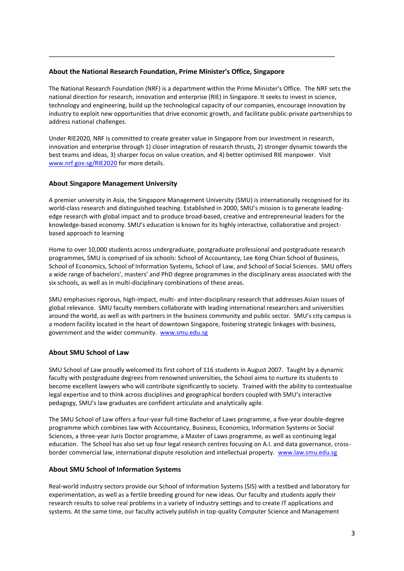## **About the National Research Foundation, Prime Minister's Office, Singapore**

The National Research Foundation (NRF) is a department within the Prime Minister's Office. The NRF sets the national direction for research, innovation and enterprise (RIE) in Singapore. It seeks to invest in science, technology and engineering, build up the technological capacity of our companies, encourage innovation by industry to exploit new opportunities that drive economic growth, and facilitate public-private partnerships to address national challenges.

\_\_\_\_\_\_\_\_\_\_\_\_\_\_\_\_\_\_\_\_\_\_\_\_\_\_\_\_\_\_\_\_\_\_\_\_\_\_\_\_\_\_\_\_\_\_\_\_\_\_\_\_\_\_\_\_\_\_\_\_\_\_\_\_\_\_\_\_\_\_\_\_\_\_\_\_\_

Under RIE2020, NRF is committed to create greater value in Singapore from our investment in research, innovation and enterprise through 1) closer integration of research thrusts, 2) stronger dynamic towards the best teams and ideas, 3) sharper focus on value creation, and 4) better optimised RIE manpower. Visit [www.nrf.gov.sg/RIE2020](http://www.nrf.gov.sg/RIE2020) for more details.

## **About Singapore Management University**

A premier university in Asia, the Singapore Management University (SMU) is internationally recognised for its world-class research and distinguished teaching. Established in 2000, SMU's mission is to generate leadingedge research with global impact and to produce broad-based, creative and entrepreneurial leaders for the knowledge-based economy. SMU's education is known for its highly interactive, collaborative and projectbased approach to learning

Home to over 10,000 students across undergraduate, postgraduate professional and postgraduate research programmes, SMU is comprised of six schools: School of Accountancy, Lee Kong Chian School of Business, School of Economics, School of Information Systems, School of Law, and School of Social Sciences. SMU offers a wide range of bachelors', masters' and PhD degree programmes in the disciplinary areas associated with the six schools, as well as in multi-disciplinary combinations of these areas.

SMU emphasises rigorous, high-impact, multi- and inter-disciplinary research that addresses Asian issues of global relevance. SMU faculty members collaborate with leading international researchers and universities around the world, as well as with partners in the business community and public sector. SMU's city campus is a modern facility located in the heart of downtown Singapore, fostering strategic linkages with business, government and the wider community. [www.smu.edu.sg](http://www.smu.edu.sg/)

# **About SMU School of Law**

SMU School of Law proudly welcomed its first cohort of 116 students in August 2007. Taught by a dynamic faculty with postgraduate degrees from renowned universities, the School aims to nurture its students to become excellent lawyers who will contribute significantly to society. Trained with the ability to contextualise legal expertise and to think across disciplines and geographical borders coupled with SMU's interactive pedagogy, SMU's law graduates are confident articulate and analytically agile.

The SMU School of Law offers a four-year full-time Bachelor of Laws programme, a five-year double-degree programme which combines law with Accountancy, Business, Economics, Information Systems or Social Sciences, a three-year Juris Doctor programme, a Master of Laws programme, as well as continuing legal education. The School has also set up four legal research centres focusing on A.I. and data governance, crossborder commercial law, international dispute resolution and intellectual property. [www.law.smu.edu.sg](http://www.law.smu.edu.sg/)

#### **About SMU School of Information Systems**

Real-world industry sectors provide our School of Information Systems (SIS) with a testbed and laboratory for experimentation, as well as a fertile breeding ground for new ideas. Our faculty and students apply their research results to solve real problems in a variety of industry settings and to create IT applications and systems. At the same time, our faculty actively publish in top-quality Computer Science and Management